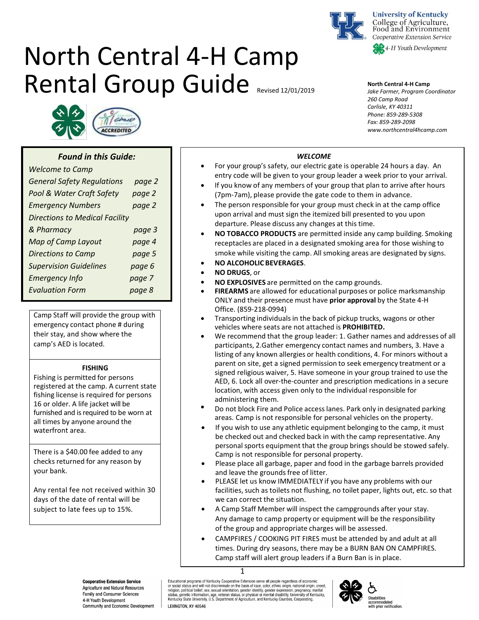

**University of Kentucky** College of Agriculture, Food and Environment Cooperative Extension Service

# North Central 4-H Camp Rental Group Guide Revised 12/01/2019

#### **North Central 4-H Camp**

*Jake Farmer, Program Coordinator 260 Camp Road Carlisle, KY 40311 Phone: 859-289-5308 Fax: 859-289-2098 www.northcentral4hcamp.com* 



# *Found in this Guide:*

| <b>Welcome to Camp</b>                |        |  |  |
|---------------------------------------|--------|--|--|
| <b>General Safety Regulations</b>     | page 2 |  |  |
| Pool & Water Craft Safety             | page 2 |  |  |
| <b>Emergency Numbers</b>              | page 2 |  |  |
| <b>Directions to Medical Facility</b> |        |  |  |
| & Pharmacy                            | page 3 |  |  |
| <b>Map of Camp Layout</b>             | page 4 |  |  |
| <b>Directions to Camp</b>             | page 5 |  |  |
| <b>Supervision Guidelines</b>         | page 6 |  |  |
| <b>Emergency Info</b>                 | page 7 |  |  |
| <b>Evaluation Form</b>                | page 8 |  |  |
|                                       |        |  |  |

Camp Staff will provide the group with emergency contact phone # during their stay, and show where the camp's AED is located.

#### **FISHING**

Fishing is permitted for persons registered at the camp. A current state fishing license is required for persons 16 or older. A life jacket will be furnished and is required to be worn at all times by anyone around the waterfront area.

There is a \$40.00 fee added to any checks returned for any reason by your bank.

Any rental fee not received within 30 days of the date of rental will be subject to late fees up to 15%.

# *WELCOME*

- For your group's safety, our electric gate is operable 24 hours a day. An entry code will be given to your group leader a week prior to your arrival.
- If you know of any members of your group that plan to arrive after hours (7pm-7am), please provide the gate code to them in advance.
- The person responsible for your group must check in at the camp office upon arrival and must sign the itemized bill presented to you upon departure. Please discuss any changes at this time.
- **NO TOBACCO PRODUCTS** are permitted inside any camp building. Smoking receptacles are placed in a designated smoking area for those wishing to smoke while visiting the camp. All smoking areas are designated by signs.
- **NO ALCOHOLIC BEVERAGES**.
- **NO DRUGS**, or
- **NO EXPLOSIVES** are permitted on the camp grounds.
- **FIREARMS** are allowed for educational purposes or police marksmanship ONLY and their presence must have **prior approval** by the State 4-H Office. (859-218-0994)
- Transporting individualsin the back of pickup trucks, wagons or other vehicles where seats are not attached is **PROHIBITED.**
- We recommend that the group leader: 1. Gather names and addresses of all participants, 2.Gather emergency contact names and numbers, 3. Have a listing of any known allergies or health conditions, 4. For minors without a parent on site, get a signed permission to seek emergency treatment or a signed religious waiver, 5. Have someone in your group trained to use the AED, 6. Lock all over-the-counter and prescription medications in a secure location, with access given only to the individual responsible for administering them.
- Do not block Fire and Police accesslanes. Park only in designated parking areas. Camp is not responsible for personal vehicles on the property.
- If you wish to use any athletic equipment belonging to the camp, it must be checked out and checked back in with the camp representative. Any personal sports equipment that the group brings should be stowed safely. Camp is not responsible for personal property.
- Please place all garbage, paper and food in the garbage barrels provided and leave the grounds free of litter.
- PLEASE let us know IMMEDIATELY if you have any problems with our facilities, such as toilets not flushing, no toilet paper, lights out, etc. so that we can correct the situation.
- A Camp Staff Member will inspect the campgrounds after your stay. Any damage to camp property or equipment will be the responsibility of the group and appropriate charges will be assessed.
- CAMPFIRES / COOKING PIT FIRES must be attended by and adult at all times. During dry seasons, there may be a BURN BAN ON CAMPFIRES. Camp staff will alert group leaders if a Burn Ban is in place.

Educational programs of Kentucky Cooperative Extension serve all people regardless of economic or social status and will not discriminate on the basis of race, color, ethnic origin, national origin, creed, or a costal anticolar political belief, sex, sexual orientation, gender identity, gender expression, pregnancy, martital<br>status, genetic information, age, veteran status, or physical or mental disability. University of Ken **LEXINGTON KY 40546** 



#### **Cooperative Extension Service** Agriculture and Natural Resources Family and Consumer Sciences 4-H Youth Development Community and Economic Development

<sup>1</sup>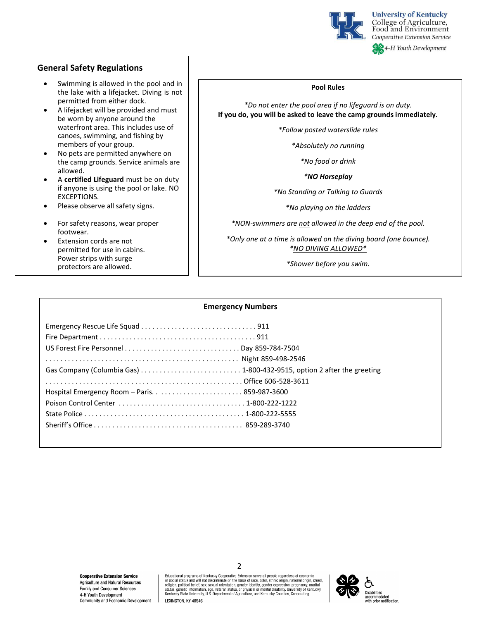

## **General Safety Regulations**

- Swimming is allowed in the pool and in the lake with a lifejacket. Diving is not permitted from either dock.
- A lifejacket will be provided and must be worn by anyone around the waterfront area. This includes use of canoes, swimming, and fishing by members of your group.
- No pets are permitted anywhere on the camp grounds. Service animals are allowed.
- A **certified Lifeguard** must be on duty if anyone is using the pool or lake. NO EXCEPTIONS.
- Please observe all safety signs.
- For safety reasons, wear proper footwear.
- Extension cords are not permitted for use in cabins. Power strips with surge protectors are allowed.

#### **Pool Rules**

*\*Do not enter the pool area if no lifeguard is on duty.* **If you do, you will be asked to leave the camp groundsimmediately.**

*\*Follow posted waterslide rules*

*\*Absolutely no running*

*\*No food or drink*

*\*NO Horseplay*

*\*No Standing or Talking to Guards*

*\*No playing on the ladders*

*\*NON-swimmers are not allowed in the deep end of the pool.*

*\*Only one at a time is allowed on the diving board (one bounce). \*NO DIVING ALLOWED\**

*\*Shower before you swim.*

#### **Emergency Numbers**

Educational programs of Kentucky Cooperative Extension serve all people regardless of economic eucationial pugitains un ventucky couplerative exteristion serve air people regarduess or exocial status and will not discriminate on the basis of race, color, ethnic origin, rational origin, creed, religion, political bel

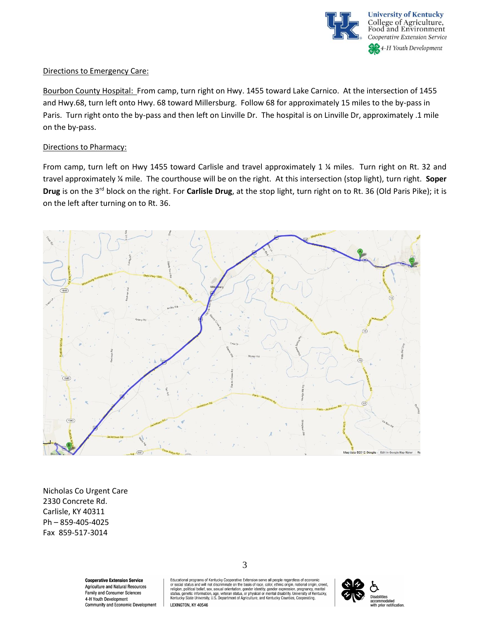

# Directions to Emergency Care:

Bourbon County Hospital: From camp, turn right on Hwy. 1455 toward Lake Carnico. At the intersection of 1455 and Hwy.68, turn left onto Hwy. 68 toward Millersburg. Follow 68 for approximately 15 miles to the by-pass in Paris. Turn right onto the by-pass and then left on Linville Dr. The hospital is on Linville Dr, approximately .1 mile on the by-pass.

## Directions to Pharmacy:

From camp, turn left on Hwy 1455 toward Carlisle and travel approximately 1 % miles. Turn right on Rt. 32 and travel approximately ¼ mile. The courthouse will be on the right. At this intersection (stop light), turn right. **Soper Drug** is on the 3rd block on the right. For **Carlisle Drug**, at the stop light, turn right on to Rt. 36 (Old Paris Pike); it is on the left after turning on to Rt. 36.



Nicholas Co Urgent Care 2330 Concrete Rd. Carlisle, KY 40311 Ph – 859-405-4025 Fax 859-517-3014

> **Cooperative Extension Service** Agriculture and Natural Resources Family and Consumer Sciences 4-H Youth Development Community and Economic Development

3

Educational programs of Kentucky Cooperative Extension serve all people regardless of economic concidental and will not discriminate on the basis of race, color, ethnic origin, national origin, creed, or social status, and will not discriminate on the basis of race, color, ethnic origin, national origin, creed, reli

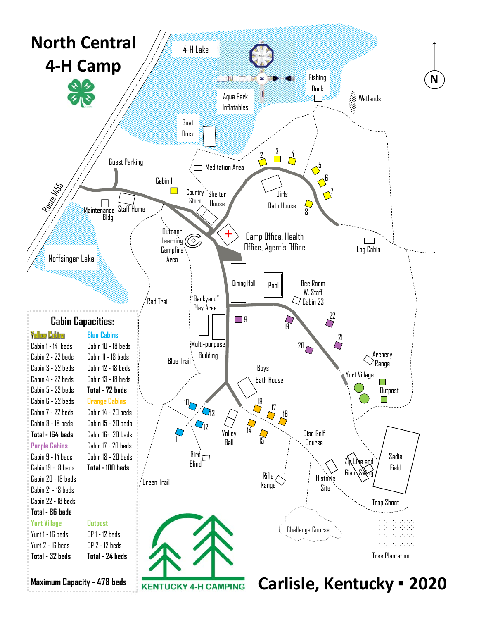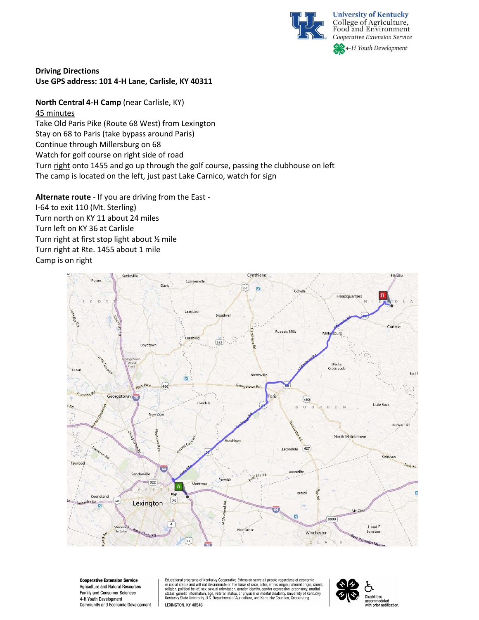

**University of Kentucky** College of Agriculture, Food and Environment Cooperative Extension Service **SA**<sub>4</sub>-H Youth Development

# **Driving Directions Use GPS address: 101 4-H Lane, Carlisle, KY 40311**

**North Central 4-H Camp** (near Carlisle, KY) 45 minutes Take Old Paris Pike (Route 68 West) from Lexington Stay on 68 to Paris (take bypass around Paris) Continue through Millersburg on 68 Watch for golf course on right side of road Turn right onto 1455 and go up through the golf course, passing the clubhouse on left The camp is located on the left, just past Lake Carnico, watch for sign

**Alternate route** - If you are driving from the East - I-64 to exit 110 (Mt. Sterling) Turn north on KY 11 about 24 miles Turn left on KY 36 at Carlisle Turn right at first stop light about ½ mile Turn right at Rte. 1455 about 1 mile Camp is on right



**Cooperative Extension Service** Agriculture and Natural Resources Family and Consumer Sciences 4-H Youth Development Community and Economic Development

Educational programs of Kentucky Cooperative Extension serve all people regardless of economic coucation any and will not discriminate on the basis of race, color, ethnic origin, national origin, creed, or social status and will not discriminate on the basis of race, color, ethnic origin, national origin, creed, rel LEXINGTON, KY 40546

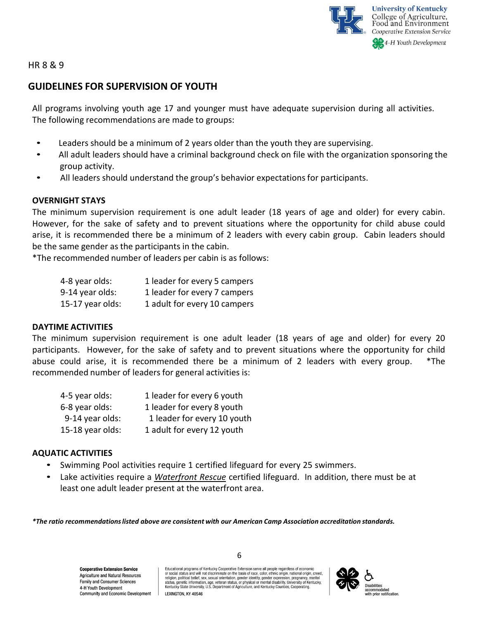

HR 8 & 9

# **GUIDELINES FOR SUPERVISION OF YOUTH**

All programs involving youth age 17 and younger must have adequate supervision during all activities. The following recommendations are made to groups:

- Leaders should be a minimum of 2 years older than the youth they are supervising.
- All adult leaders should have a criminal background check on file with the organization sponsoring the group activity.
- All leaders should understand the group's behavior expectations for participants.

# **OVERNIGHT STAYS**

The minimum supervision requirement is one adult leader (18 years of age and older) for every cabin. However, for the sake of safety and to prevent situations where the opportunity for child abuse could arise, it is recommended there be a minimum of 2 leaders with every cabin group. Cabin leaders should be the same gender as the participants in the cabin.

\*The recommended number of leaders per cabin is as follows:

| 4-8 year olds:   | 1 leader for every 5 campers |
|------------------|------------------------------|
| 9-14 year olds:  | 1 leader for every 7 campers |
| 15-17 year olds: | 1 adult for every 10 campers |

# **DAYTIME ACTIVITIES**

The minimum supervision requirement is one adult leader (18 years of age and older) for every 20 participants. However, for the sake of safety and to prevent situations where the opportunity for child abuse could arise, it is recommended there be a minimum of 2 leaders with every group. \*The recommended number of leaders for general activities is:

| 4-5 year olds:   | 1 leader for every 6 youth  |
|------------------|-----------------------------|
| 6-8 year olds:   | 1 leader for every 8 youth  |
| 9-14 year olds:  | 1 leader for every 10 youth |
| 15-18 year olds: | 1 adult for every 12 youth  |

# **AQUATIC ACTIVITIES**

- Swimming Pool activities require 1 certified lifeguard for every 25 swimmers.
- Lake activities require a *Waterfront Rescue* certified lifeguard. In addition, there must be at least one adult leader present at the waterfront area.

*\*The ratio recommendations listed above are consistent with our American Camp Association accreditation standards.*

**Cooperative Extension Service** Agriculture and Natural Resources Family and Consumer Sciences 4-H Youth Development Community and Economic Development Educational programs of Kentucky Cooperative Extension serve all people regardless of economic or social status and will not discriminate on the basis of race, color, ethnic origin, national origin, creed, or sucial contrations and the material of the material contract contrations and property according to religion, political belief, sex, sexual orientation, gender identify, gender expression, pregnancy, martial status, gene



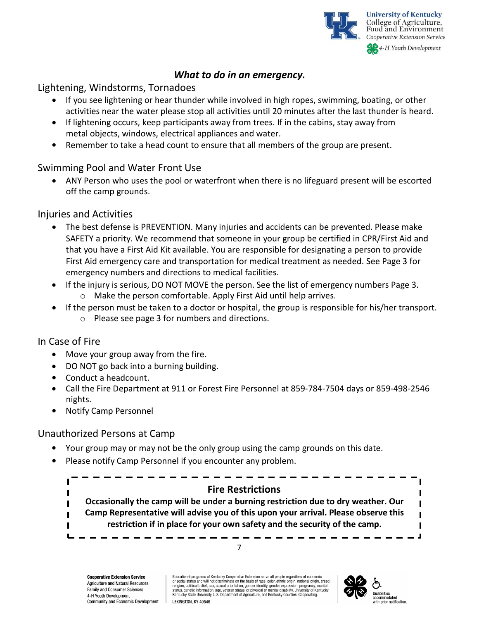

# *What to do in an emergency.*

# Lightening, Windstorms, Tornadoes

- If you see lightening or hear thunder while involved in high ropes, swimming, boating, or other activities near the water please stop all activities until 20 minutes after the last thunder is heard.
- If lightening occurs, keep participants away from trees. If in the cabins, stay away from metal objects, windows, electrical appliances and water.
- Remember to take a head count to ensure that all members of the group are present.

# Swimming Pool and Water Front Use

 ANY Person who uses the pool or waterfront when there is no lifeguard present will be escorted off the camp grounds.

# Injuries and Activities

- The best defense is PREVENTION. Many injuries and accidents can be prevented. Please make SAFETY a priority. We recommend that someone in your group be certified in CPR/First Aid and that you have a First Aid Kit available. You are responsible for designating a person to provide First Aid emergency care and transportation for medical treatment as needed. See Page 3 for emergency numbers and directions to medical facilities.
- If the injury is serious, DO NOT MOVE the person. See the list of emergency numbers Page 3. o Make the person comfortable. Apply First Aid until help arrives.
	- If the person must be taken to a doctor or hospital, the group is responsible for his/her transport. o Please see page 3 for numbers and directions.

# In Case of Fire

- Move your group away from the fire.
- DO NOT go back into a burning building.
- Conduct a headcount.
- Call the Fire Department at 911 or Forest Fire Personnel at 859-784-7504 days or 859-498-2546 nights.
- Notify Camp Personnel

# Unauthorized Persons at Camp

- Your group may or may not be the only group using the camp grounds on this date.
- Please notify Camp Personnel if you encounter any problem.



**Cooperative Extension Service** Agriculture and Natural Resources Family and Consumer Sciences 4-H Youth Development Community and Economic Development

Educational programs of Kentucky Cooperative Extension serve all people regardless of economic<br>or social status and will not discriminate on the basis of race, color, ethnic origin, national origin, creed, religion, political belief, sex, sexual orientation, gender identity, gender expression, pregnancy, marital<br>status, genetic information, age, veteran status, or physical or mental disability. University of Kentucky, Kentucky State University, U.S. Department of Agriculture, and Kentucky Counties, Cooperating LEXINGTON, KY 40546